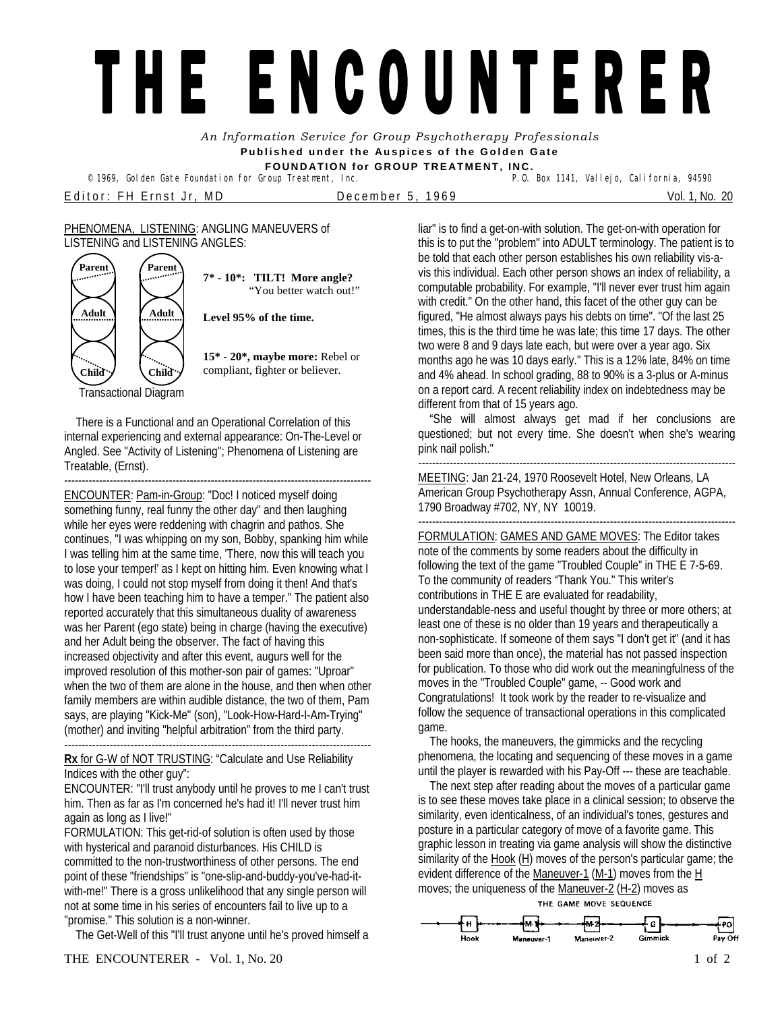## THE ENCOUNTERER

*An Information Service for Group Psychotherapy Professionals*  **Published under the Auspices of the Golden Gate** 

**FOUNDATION for GROUP TREATMENT, INC.** 

Editor: FH Ernst Jr, MD December 5, 1969 Vol. 1, No. 20

## PHENOMENA, LISTENING: ANGLING MANEUVERS of LISTENING and LISTENING ANGLES:

<sup>©</sup> 1969, Golden Gate Foundation for Group Treatment, Inc.



**7\* - 10\*: TILT! More angle?**  "You better watch out!"

**Level 95% of the time.**

**15\* - 20\*, maybe more:** Rebel or compliant, fighter or believer.

Transactional Diagram

 There is a Functional and an Operational Correlation of this internal experiencing and external appearance: On-The-Level or Angled. See "Activity of Listening"; Phenomena of Listening are Treatable, (Ernst).

---------------------------------------------------------------------------------------- ENCOUNTER: Pam-in-Group: "Doc! I noticed myself doing something funny, real funny the other day" and then laughing while her eyes were reddening with chagrin and pathos. She continues, "I was whipping on my son, Bobby, spanking him while I was telling him at the same time, 'There, now this will teach you to lose your temper!' as I kept on hitting him. Even knowing what I was doing, I could not stop myself from doing it then! And that's how I have been teaching him to have a temper." The patient also reported accurately that this simultaneous duality of awareness was her Parent (ego state) being in charge (having the executive) and her Adult being the observer. The fact of having this increased objectivity and after this event, augurs well for the improved resolution of this mother-son pair of games: "Uproar" when the two of them are alone in the house, and then when other family members are within audible distance, the two of them, Pam says, are playing "Kick-Me" (son), "Look-How-Hard-I-Am-Trying" (mother) and inviting "helpful arbitration" from the third party.

## **Rx** for G-W of NOT TRUSTING: "Calculate and Use Reliability Indices with the other guy":

----------------------------------------------------------------------------------------

ENCOUNTER: "I'll trust anybody until he proves to me I can't trust him. Then as far as I'm concerned he's had it! I'll never trust him again as long as I live!"

FORMULATION: This get-rid-of solution is often used by those with hysterical and paranoid disturbances. His CHILD is committed to the non-trustworthiness of other persons. The end point of these "friendships" is "one-slip-and-buddy-you've-had-itwith-me!" There is a gross unlikelihood that any single person will not at some time in his series of encounters fail to live up to a "promise." This solution is a non-winner.

The Get-Well of this "I'll trust anyone until he's proved himself a

liar" is to find a get-on-with solution. The get-on-with operation for this is to put the "problem" into ADULT terminology. The patient is to be told that each other person establishes his own reliability vis-avis this individual. Each other person shows an index of reliability, a computable probability. For example, "I'll never ever trust him again with credit." On the other hand, this facet of the other guy can be figured, "He almost always pays his debts on time". "Of the last 25 times, this is the third time he was late; this time 17 days. The other two were 8 and 9 days late each, but were over a year ago. Six months ago he was 10 days early." This is a 12% late, 84% on time and 4% ahead. In school grading, 88 to 90% is a 3-plus or A-minus on a report card. A recent reliability index on indebtedness may be different from that of 15 years ago.

"She will almost always get mad if her conclusions are questioned; but not every time. She doesn't when she's wearing pink nail polish."

------------------------------------------------------------------------------------------- MEETING: Jan 21-24, 1970 Roosevelt Hotel, New Orleans, LA American Group Psychotherapy Assn, Annual Conference, AGPA, 1790 Broadway #702, NY, NY 10019.

------------------------------------------------------------------------------------------- FORMULATION: GAMES AND GAME MOVES: The Editor takes note of the comments by some readers about the difficulty in following the text of the game "Troubled Couple" in THE E 7-5-69. To the community of readers "Thank You." This writer's contributions in THE E are evaluated for readability, understandable-ness and useful thought by three or more others; at least one of these is no older than 19 years and therapeutically a non-sophisticate. If someone of them says "I don't get it" (and it has been said more than once), the material has not passed inspection for publication. To those who did work out the meaningfulness of the moves in the "Troubled Couple" game, -- Good work and Congratulations! It took work by the reader to re-visualize and follow the sequence of transactional operations in this complicated game.

 The hooks, the maneuvers, the gimmicks and the recycling phenomena, the locating and sequencing of these moves in a game until the player is rewarded with his Pay-Off --- these are teachable.

 The next step after reading about the moves of a particular game is to see these moves take place in a clinical session; to observe the similarity, even identicalness, of an individual's tones, gestures and posture in a particular category of move of a favorite game. This graphic lesson in treating via game analysis will show the distinctive similarity of the Hook (H) moves of the person's particular game; the evident difference of the Maneuver-1 (M-1) moves from the H moves; the uniqueness of the Maneuver-2 (H-2) moves as THE GAME MOVE SEQUENCE